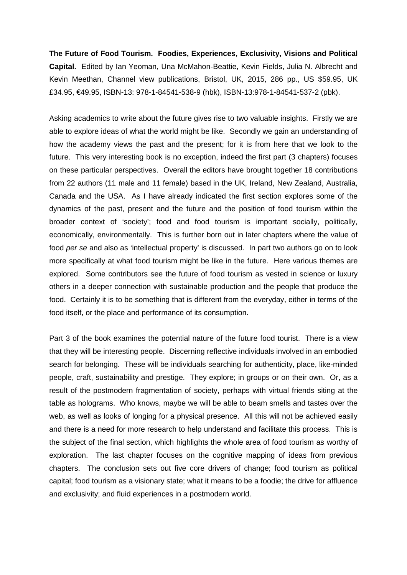**The Future of Food Tourism. Foodies, Experiences, Exclusivity, Visions and Political Capital.** Edited by Ian Yeoman, Una McMahon-Beattie, Kevin Fields, Julia N. Albrecht and Kevin Meethan, Channel view publications, Bristol, UK, 2015, 286 pp., US \$59.95, UK £34.95, €49.95, ISBN-13: 978-1-84541-538-9 (hbk), ISBN-13:978-1-84541-537-2 (pbk).

Asking academics to write about the future gives rise to two valuable insights. Firstly we are able to explore ideas of what the world might be like. Secondly we gain an understanding of how the academy views the past and the present; for it is from here that we look to the future. This very interesting book is no exception, indeed the first part (3 chapters) focuses on these particular perspectives. Overall the editors have brought together 18 contributions from 22 authors (11 male and 11 female) based in the UK, Ireland, New Zealand, Australia, Canada and the USA. As I have already indicated the first section explores some of the dynamics of the past, present and the future and the position of food tourism within the broader context of 'society'; food and food tourism is important socially, politically, economically, environmentally. This is further born out in later chapters where the value of food *per se* and also as 'intellectual property' is discussed. In part two authors go on to look more specifically at what food tourism might be like in the future. Here various themes are explored. Some contributors see the future of food tourism as vested in science or luxury others in a deeper connection with sustainable production and the people that produce the food. Certainly it is to be something that is different from the everyday, either in terms of the food itself, or the place and performance of its consumption.

Part 3 of the book examines the potential nature of the future food tourist. There is a view that they will be interesting people. Discerning reflective individuals involved in an embodied search for belonging. These will be individuals searching for authenticity, place, like-minded people, craft, sustainability and prestige. They explore; in groups or on their own. Or, as a result of the postmodern fragmentation of society, perhaps with virtual friends siting at the table as holograms. Who knows, maybe we will be able to beam smells and tastes over the web, as well as looks of longing for a physical presence. All this will not be achieved easily and there is a need for more research to help understand and facilitate this process. This is the subject of the final section, which highlights the whole area of food tourism as worthy of exploration. The last chapter focuses on the cognitive mapping of ideas from previous chapters. The conclusion sets out five core drivers of change; food tourism as political capital; food tourism as a visionary state; what it means to be a foodie; the drive for affluence and exclusivity; and fluid experiences in a postmodern world.